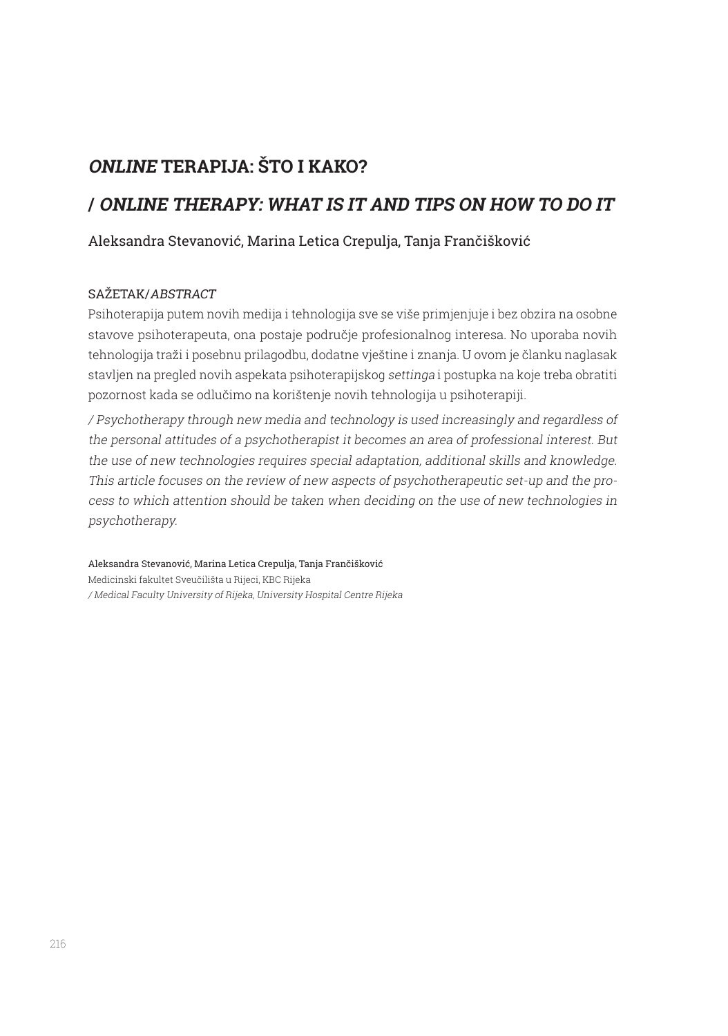# **ONLINE TERAPIJA: ŠTO I KAKO?**

# **/ ONLINE THERAPY: WHAT IS IT AND TIPS ON HOW TO DO IT**

### Aleksandra Stevanović, Marina Letica Crepulja, Tanja Frančišković

#### SAŽETAK/ABSTRACT

Psihoterapija putem novih medija i tehnologija sve se više primjenjuje i bez obzira na osobne stavove psihoterapeuta, ona postaje područje profesionalnog interesa. No uporaba novih tehnologija traži i posebnu prilagodbu, dodatne vještine i znanja. U ovom je članku naglasak stavljen na pregled novih aspekata psihoterapijskog settinga i postupka na koje treba obratiti pozornost kada se odlučimo na korištenje novih tehnologija u psihoterapiji.

/ Psychotherapy through new media and technology is used increasingly and regardless of the personal attitudes of a psychotherapist it becomes an area of professional interest. But the use of new technologies requires special adaptation, additional skills and knowledge. This article focuses on the review of new aspects of psychotherapeutic set-up and the process to which attention should be taken when deciding on the use of new technologies in psychotherapy.

Aleksandra Stevanović, Marina Letica Crepulja, Tanja Frančišković Medicinski fakultet Sveučilišta u Rijeci, KBC Rijeka / Medical Faculty University of Rijeka, University Hospital Centre Rijeka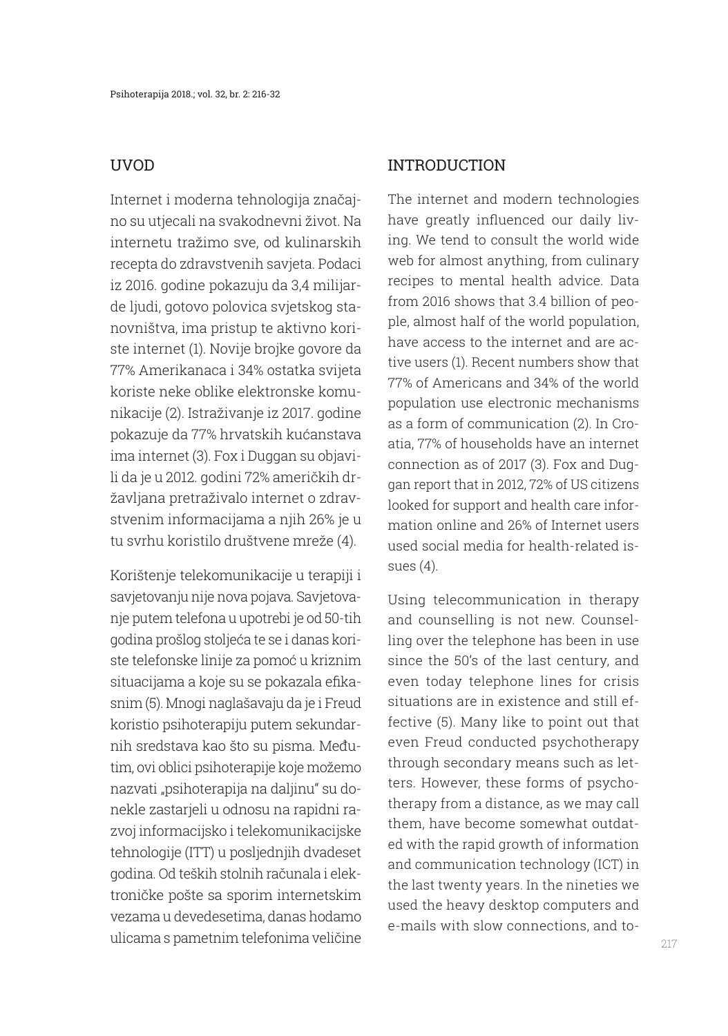### UVOD

Internet i moderna tehnologija značajno su utjecali na svakodnevni život. Na internetu tražimo sve, od kulinarskih recepta do zdravstvenih savjeta. Podaci iz 2016. godine pokazuju da 3,4 milijarde ljudi, gotovo polovica svjetskog stanovništva, ima pristup te aktivno koriste internet (1). Novije brojke govore da 77% Amerikanaca i 34% ostatka svijeta koriste neke oblike elektronske komunikacije (2). Istraživanje iz 2017. godine pokazuje da 77% hrvatskih kućanstava ima internet (3). Fox i Duggan su objavili da je u 2012. godini 72% američkih državljana pretraživalo internet o zdravstvenim informacijama a njih 26% je u tu svrhu koristilo društvene mreže (4).

Korištenje telekomunikacije u terapiji i savjetovanju nije nova pojava. Savjetovanje putem telefona u upotrebi je od 50-tih godina prošlog stoljeća te se i danas koriste telefonske linije za pomoć u kriznim situacijama a koje su se pokazala efikasnim (5). Mnogi naglašavaju da je i Freud koristio psihoterapiju putem sekundarnih sredstava kao što su pisma. Međutim, ovi oblici psihoterapije koje možemo nazvati "psihoterapija na daljinu" su donekle zastarjeli u odnosu na rapidni razvoj informacijsko i telekomunikacijske tehnologije (ITT) u posljednjih dvadeset godina. Od teških stolnih računala i elektroničke pošte sa sporim internetskim vezama u devedesetima, danas hodamo ulicama s pametnim telefonima veličine

#### INTRODUCTION

The internet and modern technologies have greatly influenced our daily living. We tend to consult the world wide web for almost anything, from culinary recipes to mental health advice. Data from 2016 shows that 3.4 billion of people, almost half of the world population, have access to the internet and are active users (1). Recent numbers show that 77% of Americans and 34% of the world population use electronic mechanisms as a form of communication (2). In Croatia, 77% of households have an internet connection as of 2017 (3). Fox and Duggan report that in 2012, 72% of US citizens looked for support and health care information online and 26% of Internet users used social media for health-related issues (4).

Using telecommunication in therapy and counselling is not new. Counselling over the telephone has been in use since the 50's of the last century, and even today telephone lines for crisis situations are in existence and still effective (5). Many like to point out that even Freud conducted psychotherapy through secondary means such as letters. However, these forms of psychotherapy from a distance, as we may call them, have become somewhat outdated with the rapid growth of information and communication technology (ICT) in the last twenty years. In the nineties we used the heavy desktop computers and e-mails with slow connections, and to-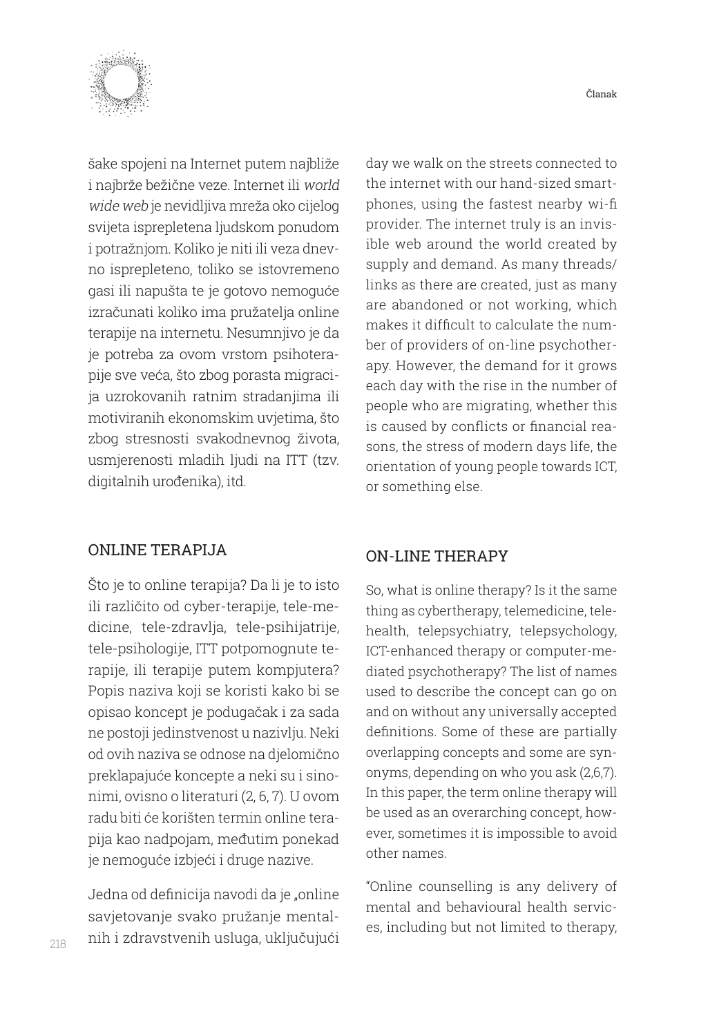

šake spojeni na Internet putem najbliže i najbrže bežične veze. Internet ili world wide web je nevidljiva mreža oko cijelog svijeta isprepletena ljudskom ponudom i potražnjom. Koliko je niti ili veza dnevno isprepleteno, toliko se istovremeno gasi ili napušta te je gotovo nemoguće izračunati koliko ima pružatelja online terapije na internetu. Nesumnjivo je da je potreba za ovom vrstom psihoterapije sve veća, što zbog porasta migracija uzrokovanih ratnim stradanjima ili motiviranih ekonomskim uvjetima, što zbog stresnosti svakodnevnog života, usmjerenosti mladih ljudi na ITT (tzv. digitalnih urođenika), itd.

### ONLINE TERAPIJA

Što je to online terapija? Da li je to isto ili različito od cyber-terapije, tele-medicine, tele-zdravlja, tele-psihijatrije, tele-psihologije, ITT potpomognute terapije, ili terapije putem kompjutera? Popis naziva koji se koristi kako bi se opisao koncept je podugačak i za sada ne postoji jedinstvenost u nazivlju. Neki od ovih naziva se odnose na djelomično preklapajuće koncepte a neki su i sinonimi, ovisno o literaturi (2, 6, 7). U ovom radu biti će korišten termin online terapija kao nadpojam, međutim ponekad je nemoguće izbjeći i druge nazive.

Jedna od definicija navodi da je "online savjetovanje svako pružanje mentalnih i zdravstvenih usluga, uključujući

day we walk on the streets connected to the internet with our hand-sized smartphones, using the fastest nearby wi-fi provider. The internet truly is an invisible web around the world created by supply and demand. As many threads/ links as there are created, just as many are abandoned or not working, which makes it difficult to calculate the number of providers of on-line psychotherapy. However, the demand for it grows each day with the rise in the number of people who are migrating, whether this is caused by conflicts or financial reasons, the stress of modern days life, the orientation of young people towards ICT, or something else.

#### ON-LINE THERAPY

So, what is online therapy? Is it the same thing as cybertherapy, telemedicine, telehealth, telepsychiatry, telepsychology, ICT-enhanced therapy or computer-mediated psychotherapy? The list of names used to describe the concept can go on and on without any universally accepted definitions. Some of these are partially overlapping concepts and some are synonyms, depending on who you ask (2,6,7). In this paper, the term online therapy will be used as an overarching concept, however, sometimes it is impossible to avoid other names.

"Online counselling is any delivery of mental and behavioural health services, including but not limited to therapy,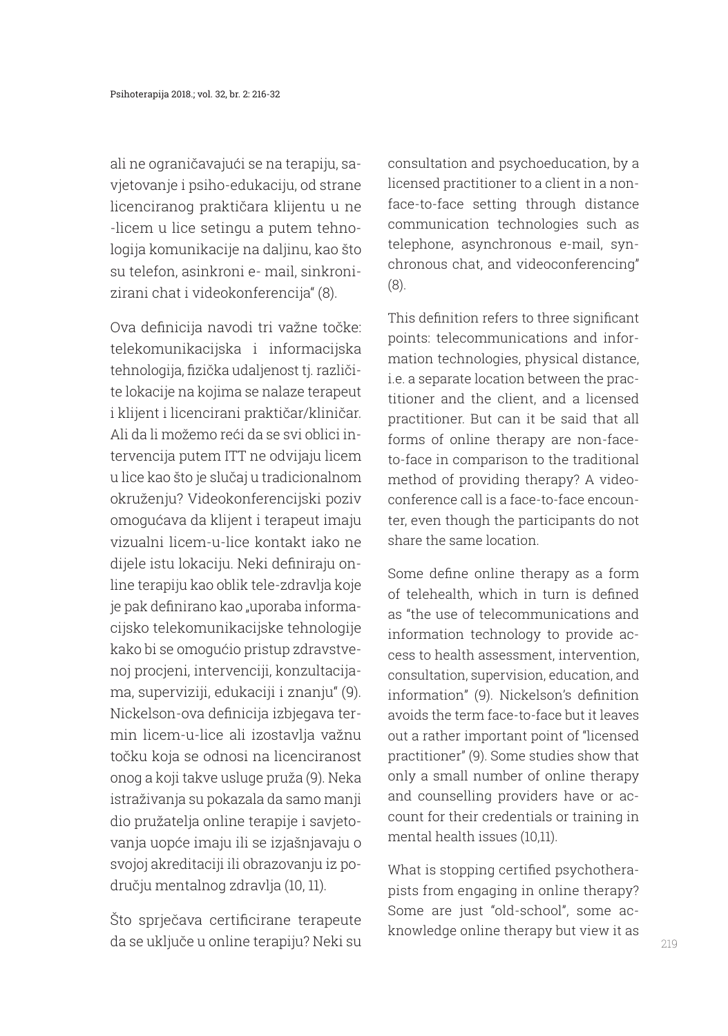ali ne ograničavajući se na terapiju, savjetovanje i psiho-edukaciju, od strane licenciranog praktičara klijentu u ne -licem u lice setingu a putem tehnologija komunikacije na daljinu, kao što su telefon, asinkroni e- mail, sinkronizirani chat i videokonferencija" (8).

Ova definicija navodi tri važne točke: telekomunikacijska i informacijska tehnologija, fizička udaljenost tj. različite lokacije na kojima se nalaze terapeut i klijent i licencirani praktičar/kliničar. Ali da li možemo reći da se svi oblici intervencija putem ITT ne odvijaju licem u lice kao što je slučaj u tradicionalnom okruženju? Videokonferencijski poziv omogućava da klijent i terapeut imaju vizualni licem-u-lice kontakt iako ne dijele istu lokaciju. Neki definiraju online terapiju kao oblik tele-zdravlja koje je pak definirano kao "uporaba informacijsko telekomunikacijske tehnologije kako bi se omogućio pristup zdravstvenoj procjeni, intervenciji, konzultacijama, superviziji, edukaciji i znanju" (9). Nickelson-ova definicija izbjegava termin licem-u-lice ali izostavlja važnu točku koja se odnosi na licenciranost onog a koji takve usluge pruža (9). Neka istraživanja su pokazala da samo manji dio pružatelja online terapije i savjetovanja uopće imaju ili se izjašnjavaju o svojoj akreditaciji ili obrazovanju iz području mentalnog zdravlja (10, 11).

Što sprječava certificirane terapeute da se uključe u online terapiju? Neki su

consultation and psychoeducation, by a licensed practitioner to a client in a nonface-to-face setting through distance communication technologies such as telephone, asynchronous e-mail, synchronous chat, and videoconferencing" (8).

This definition refers to three significant points: telecommunications and information technologies, physical distance, i.e. a separate location between the practitioner and the client, and a licensed practitioner. But can it be said that all forms of online therapy are non-faceto-face in comparison to the traditional method of providing therapy? A videoconference call is a face-to-face encounter, even though the participants do not share the same location.

Some define online therapy as a form of telehealth, which in turn is defined as "the use of telecommunications and information technology to provide access to health assessment, intervention, consultation, supervision, education, and information" (9). Nickelson's definition avoids the term face-to-face but it leaves out a rather important point of "licensed practitioner" (9). Some studies show that only a small number of online therapy and counselling providers have or account for their credentials or training in mental health issues (10,11).

What is stopping certified psychotherapists from engaging in online therapy? Some are just "old-school", some acknowledge online therapy but view it as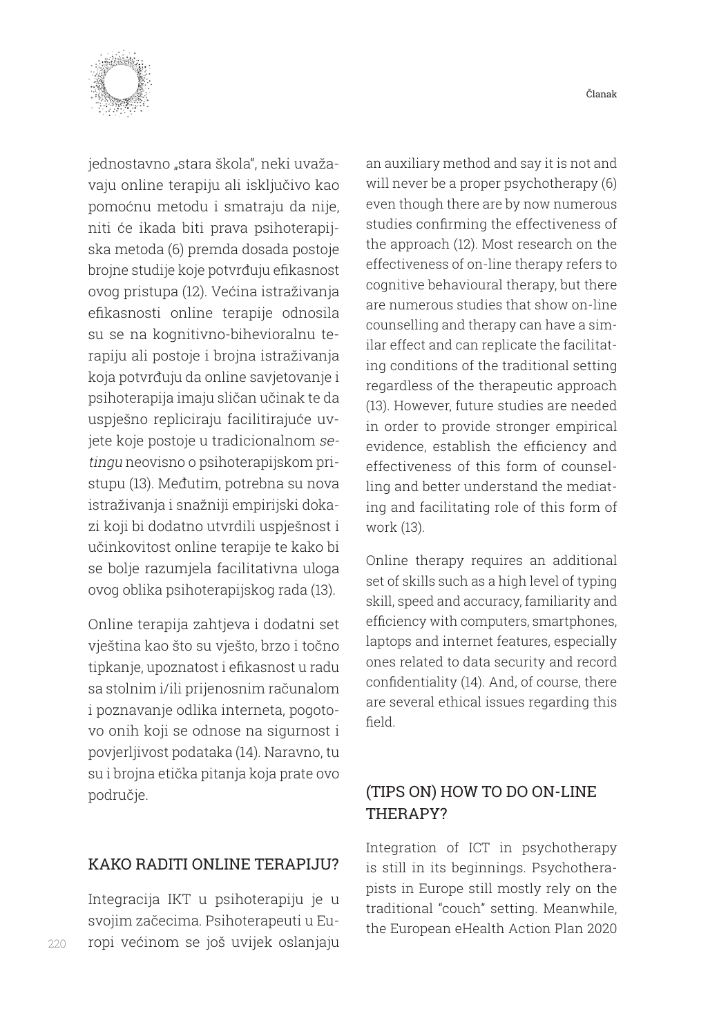

jednostavno "stara škola", neki uvažavaju online terapiju ali isključivo kao pomoćnu metodu i smatraju da nije, niti će ikada biti prava psihoterapijska metoda (6) premda dosada postoje brojne studije koje potvrđuju efikasnost ovog pristupa (12). Većina istraživanja efikasnosti online terapije odnosila su se na kognitivno-bihevioralnu terapiju ali postoje i brojna istraživanja koja potvrđuju da online savjetovanje i psihoterapija imaju sličan učinak te da uspješno repliciraju facilitirajuće uvjete koje postoje u tradicionalnom setingu neovisno o psihoterapijskom pristupu (13). Međutim, potrebna su nova istraživanja i snažniji empirijski dokazi koji bi dodatno utvrdili uspješnost i učinkovitost online terapije te kako bi se bolje razumjela facilitativna uloga ovog oblika psihoterapijskog rada (13).

Online terapija zahtjeva i dodatni set vještina kao što su vješto, brzo i točno tipkanje, upoznatost i efikasnost u radu sa stolnim i/ili prijenosnim računalom i poznavanje odlika interneta, pogotovo onih koji se odnose na sigurnost i povjerljivost podataka (14). Naravno, tu su i brojna etička pitanja koja prate ovo područje.

### KAKO RADITI ONLINE TERAPIJU?

Integracija IKT u psihoterapiju je u svojim začecima. Psihoterapeuti u Europi većinom se još uvijek oslanjaju

an auxiliary method and say it is not and will never be a proper psychotherapy (6) even though there are by now numerous studies confirming the effectiveness of the approach (12). Most research on the effectiveness of on-line therapy refers to cognitive behavioural therapy, but there are numerous studies that show on-line counselling and therapy can have a similar effect and can replicate the facilitating conditions of the traditional setting regardless of the therapeutic approach (13). However, future studies are needed in order to provide stronger empirical evidence, establish the efficiency and effectiveness of this form of counselling and better understand the mediating and facilitating role of this form of work (13).

Online therapy requires an additional set of skills such as a high level of typing skill, speed and accuracy, familiarity and efficiency with computers, smartphones, laptops and internet features, especially ones related to data security and record confidentiality (14). And, of course, there are several ethical issues regarding this field.

## (TIPS ON) HOW TO DO ON-LINE THERAPY?

Integration of ICT in psychotherapy is still in its beginnings. Psychotherapists in Europe still mostly rely on the traditional "couch" setting. Meanwhile, the European eHealth Action Plan 2020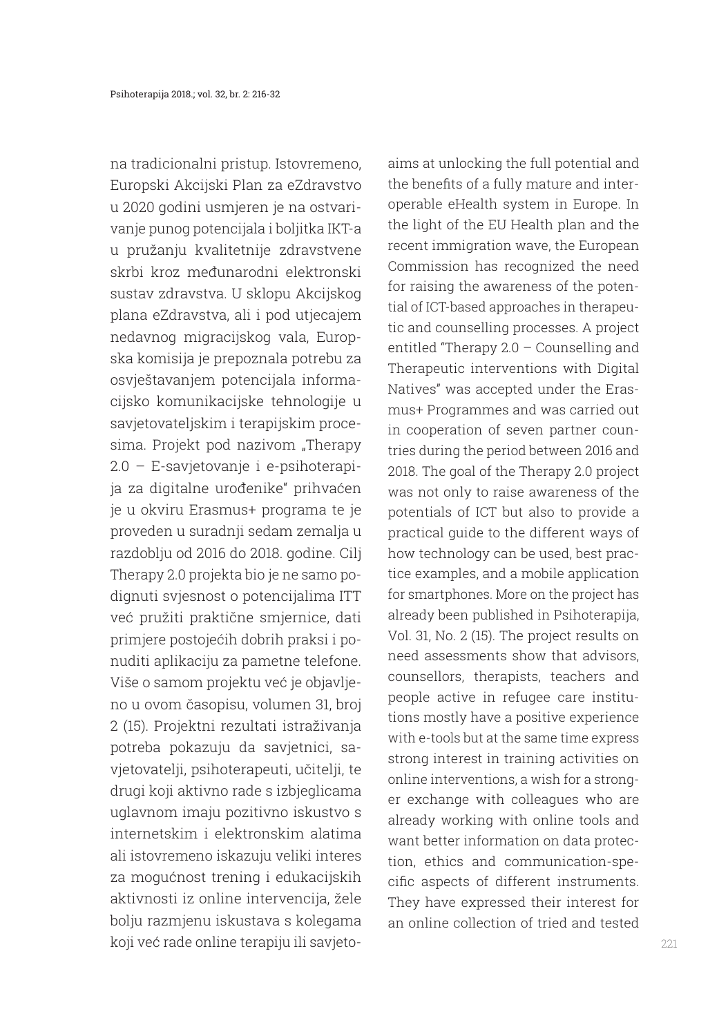na tradicionalni pristup. Istovremeno, Europski Akcijski Plan za eZdravstvo u 2020 godini usmjeren je na ostvarivanje punog potencijala i boljitka IKT-a u pružanju kvalitetnije zdravstvene skrbi kroz međunarodni elektronski sustav zdravstva. U sklopu Akcijskog plana eZdravstva, ali i pod utjecajem nedavnog migracijskog vala, Europska komisija je prepoznala potrebu za osvještavanjem potencijala informacijsko komunikacijske tehnologije u savjetovateljskim i terapijskim procesima. Projekt pod nazivom "Therapy 2.0 – E-savjetovanje i e-psihoterapija za digitalne urođenike" prihvaćen je u okviru Erasmus+ programa te je proveden u suradnji sedam zemalja u razdoblju od 2016 do 2018. godine. Cilj Therapy 2.0 projekta bio je ne samo podignuti svjesnost o potencijalima ITT već pružiti praktične smjernice, dati primjere postojećih dobrih praksi i ponuditi aplikaciju za pametne telefone. Više o samom projektu već je objavljeno u ovom časopisu, volumen 31, broj 2 (15). Projektni rezultati istraživanja potreba pokazuju da savjetnici, savjetovatelji, psihoterapeuti, učitelji, te drugi koji aktivno rade s izbjeglicama uglavnom imaju pozitivno iskustvo s internetskim i elektronskim alatima ali istovremeno iskazuju veliki interes za mogućnost trening i edukacijskih aktivnosti iz online intervencija, žele bolju razmjenu iskustava s kolegama koji već rade online terapiju ili savjetoaims at unlocking the full potential and the benefits of a fully mature and interoperable eHealth system in Europe. In the light of the EU Health plan and the recent immigration wave, the European Commission has recognized the need for raising the awareness of the potential of ICT-based approaches in therapeutic and counselling processes. A project entitled "Therapy 2.0 – Counselling and Therapeutic interventions with Digital Natives" was accepted under the Erasmus+ Programmes and was carried out in cooperation of seven partner countries during the period between 2016 and 2018. The goal of the Therapy 2.0 project was not only to raise awareness of the potentials of ICT but also to provide a practical guide to the different ways of how technology can be used, best practice examples, and a mobile application for smartphones. More on the project has already been published in Psihoterapija, Vol. 31, No. 2 (15). The project results on need assessments show that advisors, counsellors, therapists, teachers and people active in refugee care institutions mostly have a positive experience with e-tools but at the same time express strong interest in training activities on online interventions, a wish for a stronger exchange with colleagues who are already working with online tools and want better information on data protection, ethics and communication-specific aspects of different instruments. They have expressed their interest for an online collection of tried and tested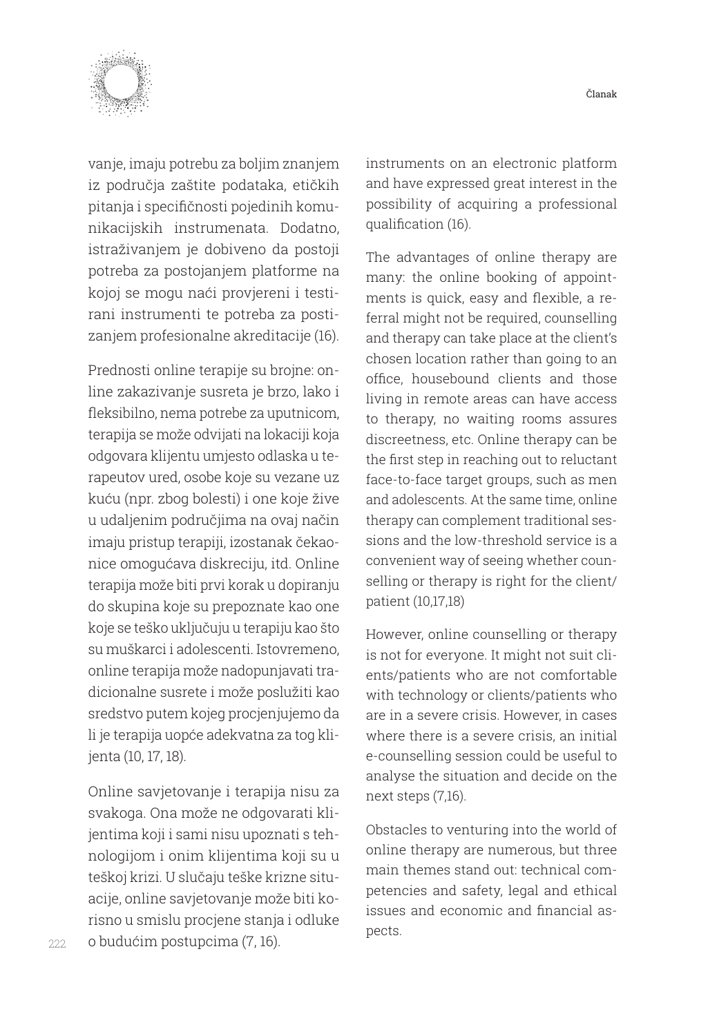

vanje, imaju potrebu za boljim znanjem iz područja zaštite podataka, etičkih pitanja i specifičnosti pojedinih komunikacijskih instrumenata. Dodatno, istraživanjem je dobiveno da postoji potreba za postojanjem platforme na kojoj se mogu naći provjereni i testirani instrumenti te potreba za postizanjem profesionalne akreditacije (16).

Prednosti online terapije su brojne: online zakazivanje susreta je brzo, lako i fleksibilno, nema potrebe za uputnicom, terapija se može odvijati na lokaciji koja odgovara klijentu umjesto odlaska u terapeutov ured, osobe koje su vezane uz kuću (npr. zbog bolesti) i one koje žive u udaljenim područjima na ovaj način imaju pristup terapiji, izostanak čekaonice omogućava diskreciju, itd. Online terapija može biti prvi korak u dopiranju do skupina koje su prepoznate kao one koje se teško uključuju u terapiju kao što su muškarci i adolescenti. Istovremeno, online terapija može nadopunjavati tradicionalne susrete i može poslužiti kao sredstvo putem kojeg procjenjujemo da li je terapija uopće adekvatna za tog klijenta (10, 17, 18).

Online savjetovanje i terapija nisu za svakoga. Ona može ne odgovarati klijentima koji i sami nisu upoznati s tehnologijom i onim klijentima koji su u teškoj krizi. U slučaju teške krizne situacije, online savjetovanje može biti korisno u smislu procjene stanja i odluke o budućim postupcima (7, 16).

instruments on an electronic platform and have expressed great interest in the possibility of acquiring a professional qualification (16).

The advantages of online therapy are many: the online booking of appointments is quick, easy and flexible, a referral might not be required, counselling and therapy can take place at the client's chosen location rather than going to an office, housebound clients and those living in remote areas can have access to therapy, no waiting rooms assures discreetness, etc. Online therapy can be the first step in reaching out to reluctant face-to-face target groups, such as men and adolescents. At the same time, online therapy can complement traditional sessions and the low-threshold service is a convenient way of seeing whether counselling or therapy is right for the client/ patient (10,17,18)

However, online counselling or therapy is not for everyone. It might not suit clients/patients who are not comfortable with technology or clients/patients who are in a severe crisis. However, in cases where there is a severe crisis, an initial e-counselling session could be useful to analyse the situation and decide on the next steps (7,16).

Obstacles to venturing into the world of online therapy are numerous, but three main themes stand out: technical competencies and safety, legal and ethical issues and economic and financial aspects.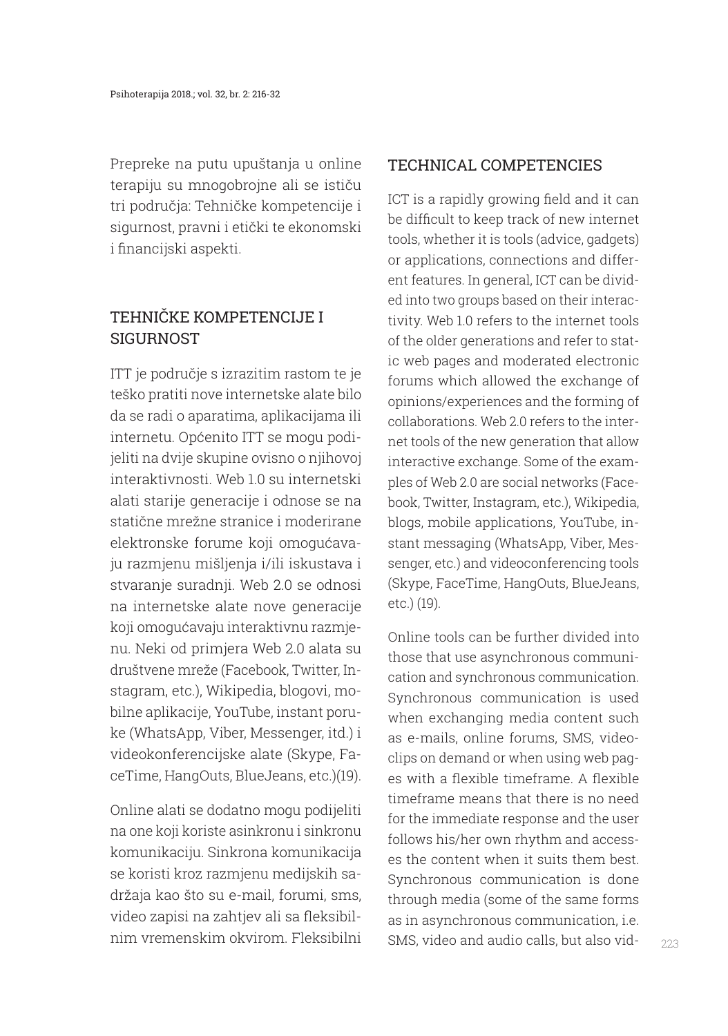Prepreke na putu upuštanja u online terapiju su mnogobrojne ali se ističu tri područja: Tehničke kompetencije i sigurnost, pravni i etički te ekonomski i financijski aspekti.

# TEHNIČKE KOMPETENCIJE I **SIGURNOST**

ITT je područje s izrazitim rastom te je teško pratiti nove internetske alate bilo da se radi o aparatima, aplikacijama ili internetu. Općenito ITT se mogu podijeliti na dvije skupine ovisno o njihovoj interaktivnosti. Web 1.0 su internetski alati starije generacije i odnose se na statične mrežne stranice i moderirane elektronske forume koji omogućavaju razmjenu mišljenja i/ili iskustava i stvaranje suradnji. Web 2.0 se odnosi na internetske alate nove generacije koji omogućavaju interaktivnu razmjenu. Neki od primjera Web 2.0 alata su društvene mreže (Facebook, Twitter, Instagram, etc.), Wikipedia, blogovi, mobilne aplikacije, YouTube, instant poruke (WhatsApp, Viber, Messenger, itd.) i videokonferencijske alate (Skype, FaceTime, HangOuts, BlueJeans, etc.)(19).

Online alati se dodatno mogu podijeliti na one koji koriste asinkronu i sinkronu komunikaciju. Sinkrona komunikacija se koristi kroz razmjenu medijskih sadržaja kao što su e-mail, forumi, sms, video zapisi na zahtjev ali sa fleksibilnim vremenskim okvirom. Fleksibilni

### TECHNICAL COMPETENCIES

ICT is a rapidly growing field and it can be difficult to keep track of new internet tools, whether it is tools (advice, gadgets) or applications, connections and different features. In general, ICT can be divided into two groups based on their interactivity. Web 1.0 refers to the internet tools of the older generations and refer to static web pages and moderated electronic forums which allowed the exchange of opinions/experiences and the forming of collaborations. Web 2.0 refers to the internet tools of the new generation that allow interactive exchange. Some of the examples of Web 2.0 are social networks (Facebook, Twitter, Instagram, etc.), Wikipedia, blogs, mobile applications, YouTube, instant messaging (WhatsApp, Viber, Messenger, etc.) and videoconferencing tools (Skype, FaceTime, HangOuts, BlueJeans, etc.) (19).

Online tools can be further divided into those that use asynchronous communication and synchronous communication. Synchronous communication is used when exchanging media content such as e-mails, online forums, SMS, videoclips on demand or when using web pages with a flexible timeframe. A flexible timeframe means that there is no need for the immediate response and the user follows his/her own rhythm and accesses the content when it suits them best. Synchronous communication is done through media (some of the same forms as in asynchronous communication, i.e. SMS, video and audio calls, but also vid-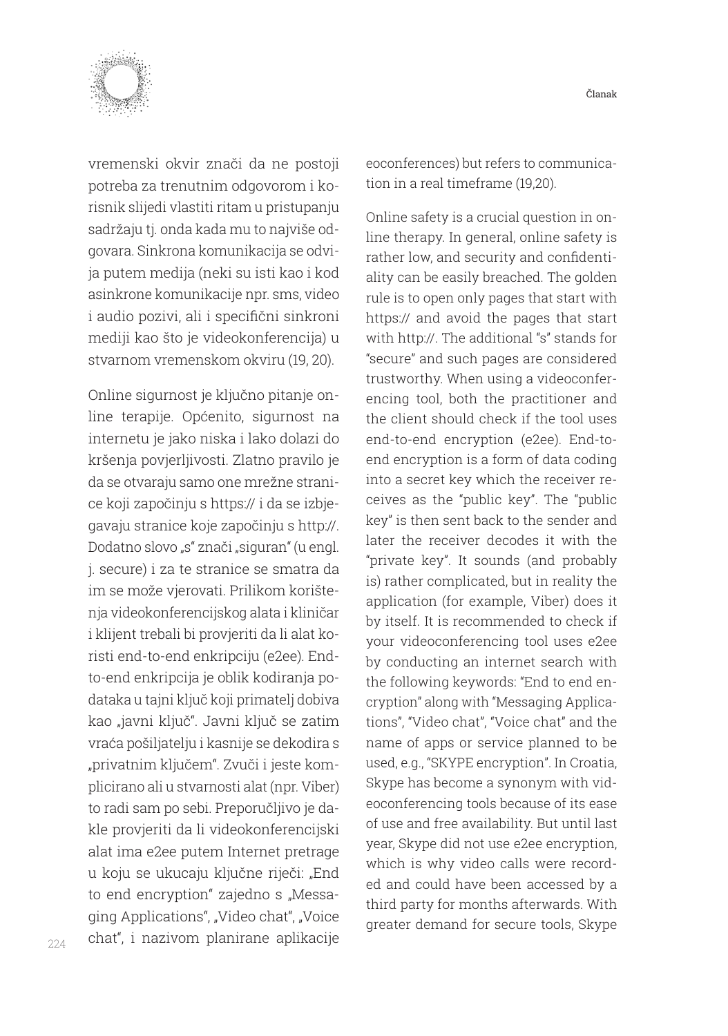

vremenski okvir znači da ne postoji potreba za trenutnim odgovorom i korisnik slijedi vlastiti ritam u pristupanju sadržaju tj. onda kada mu to najviše odgovara. Sinkrona komunikacija se odvija putem medija (neki su isti kao i kod asinkrone komunikacije npr. sms, video i audio pozivi, ali i specifični sinkroni mediji kao što je videokonferencija) u stvarnom vremenskom okviru (19, 20).

Online sigurnost je ključno pitanje online terapije. Općenito, sigurnost na internetu je jako niska i lako dolazi do kršenja povjerljivosti. Zlatno pravilo je da se otvaraju samo one mrežne stranice koji započinju s https:// i da se izbjegavaju stranice koje započinju s http://. Dodatno slovo "s" znači "siguran" (u engl. j. secure) i za te stranice se smatra da im se može vjerovati. Prilikom korištenja videokonferencijskog alata i kliničar i klijent trebali bi provjeriti da li alat koristi end-to-end enkripciju (e2ee). Endto-end enkripcija je oblik kodiranja podataka u tajni ključ koji primatelj dobiva kao "javni ključ". Javni ključ se zatim vraća pošiljatelju i kasnije se dekodira s "privatnim ključem". Zvuči i jeste komplicirano ali u stvarnosti alat (npr. Viber) to radi sam po sebi. Preporučljivo je dakle provjeriti da li videokonferencijski alat ima e2ee putem Internet pretrage u koju se ukucaju ključne riječi: "End to end encryption" zajedno s "Messaging Applications", "Video chat", "Voice chat", i nazivom planirane aplikacije eoconferences) but refers to communication in a real timeframe (19,20).

Online safety is a crucial question in online therapy. In general, online safety is rather low, and security and confidentiality can be easily breached. The golden rule is to open only pages that start with https:// and avoid the pages that start with http://. The additional "s" stands for "secure" and such pages are considered trustworthy. When using a videoconferencing tool, both the practitioner and the client should check if the tool uses end-to-end encryption (e2ee). End-toend encryption is a form of data coding into a secret key which the receiver receives as the "public key". The "public key" is then sent back to the sender and later the receiver decodes it with the "private key". It sounds (and probably is) rather complicated, but in reality the application (for example, Viber) does it by itself. It is recommended to check if your videoconferencing tool uses e2ee by conducting an internet search with the following keywords: "End to end encryption" along with "Messaging Applications", "Video chat", "Voice chat" and the name of apps or service planned to be used, e.g., "SKYPE encryption". In Croatia, Skype has become a synonym with videoconferencing tools because of its ease of use and free availability. But until last year, Skype did not use e2ee encryption, which is why video calls were recorded and could have been accessed by a third party for months afterwards. With greater demand for secure tools, Skype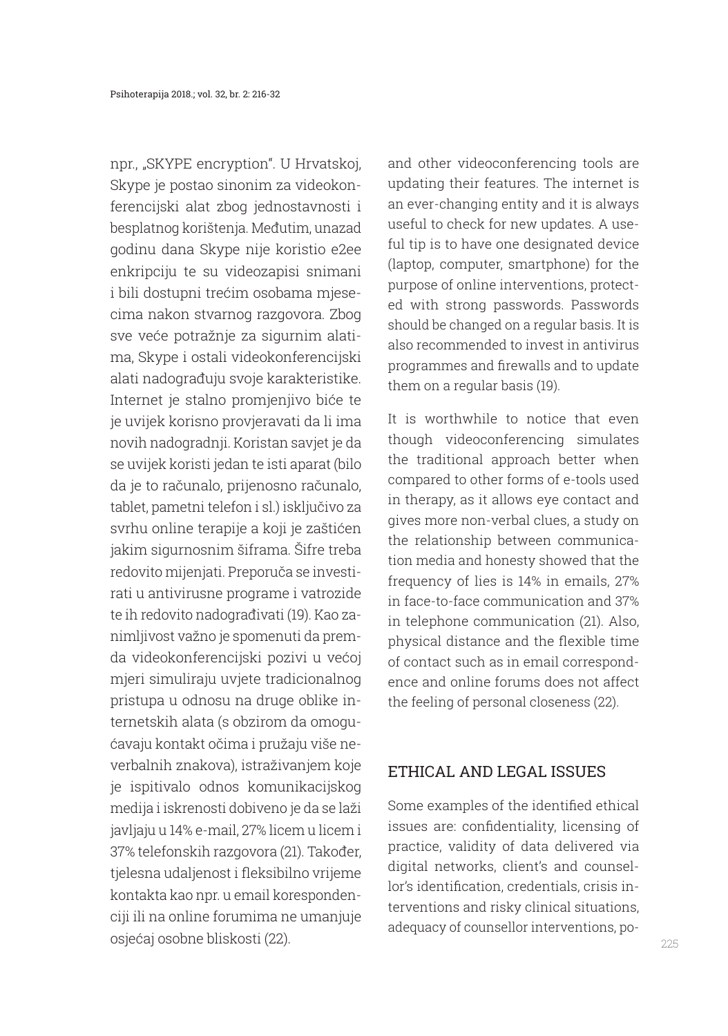npr., "SKYPE encryption". U Hrvatskoj, Skype je postao sinonim za videokonferencijski alat zbog jednostavnosti i besplatnog korištenja. Međutim, unazad godinu dana Skype nije koristio e2ee enkripciju te su videozapisi snimani i bili dostupni trećim osobama mjesecima nakon stvarnog razgovora. Zbog sve veće potražnje za sigurnim alatima, Skype i ostali videokonferencijski alati nadograđuju svoje karakteristike. Internet je stalno promjenjivo biće te je uvijek korisno provjeravati da li ima novih nadogradnji. Koristan savjet je da se uvijek koristi jedan te isti aparat (bilo da je to računalo, prijenosno računalo, tablet, pametni telefon i sl.) isključivo za svrhu online terapije a koji je zaštićen jakim sigurnosnim šiframa. Šifre treba redovito mijenjati. Preporuča se investirati u antivirusne programe i vatrozide te ih redovito nadograđivati (19). Kao zanimljivost važno je spomenuti da premda videokonferencijski pozivi u većoj mjeri simuliraju uvjete tradicionalnog pristupa u odnosu na druge oblike internetskih alata (s obzirom da omogućavaju kontakt očima i pružaju više neverbalnih znakova), istraživanjem koje je ispitivalo odnos komunikacijskog medija i iskrenosti dobiveno je da se laži javljaju u 14% e-mail, 27% licem u licem i 37% telefonskih razgovora (21). Također, tjelesna udaljenost i fleksibilno vrijeme kontakta kao npr. u email korespondenciji ili na online forumima ne umanjuje osjećaj osobne bliskosti (22).

and other videoconferencing tools are updating their features. The internet is an ever-changing entity and it is always useful to check for new updates. A useful tip is to have one designated device (laptop, computer, smartphone) for the purpose of online interventions, protected with strong passwords. Passwords should be changed on a regular basis. It is also recommended to invest in antivirus programmes and firewalls and to update them on a regular basis (19).

It is worthwhile to notice that even though videoconferencing simulates the traditional approach better when compared to other forms of e-tools used in therapy, as it allows eye contact and gives more non-verbal clues, a study on the relationship between communication media and honesty showed that the frequency of lies is 14% in emails, 27% in face-to-face communication and 37% in telephone communication (21). Also, physical distance and the flexible time of contact such as in email correspondence and online forums does not affect the feeling of personal closeness (22).

#### ETHICAL AND LEGAL ISSUES

Some examples of the identified ethical issues are: confidentiality, licensing of practice, validity of data delivered via digital networks, client's and counsellor's identification, credentials, crisis interventions and risky clinical situations, adequacy of counsellor interventions, po-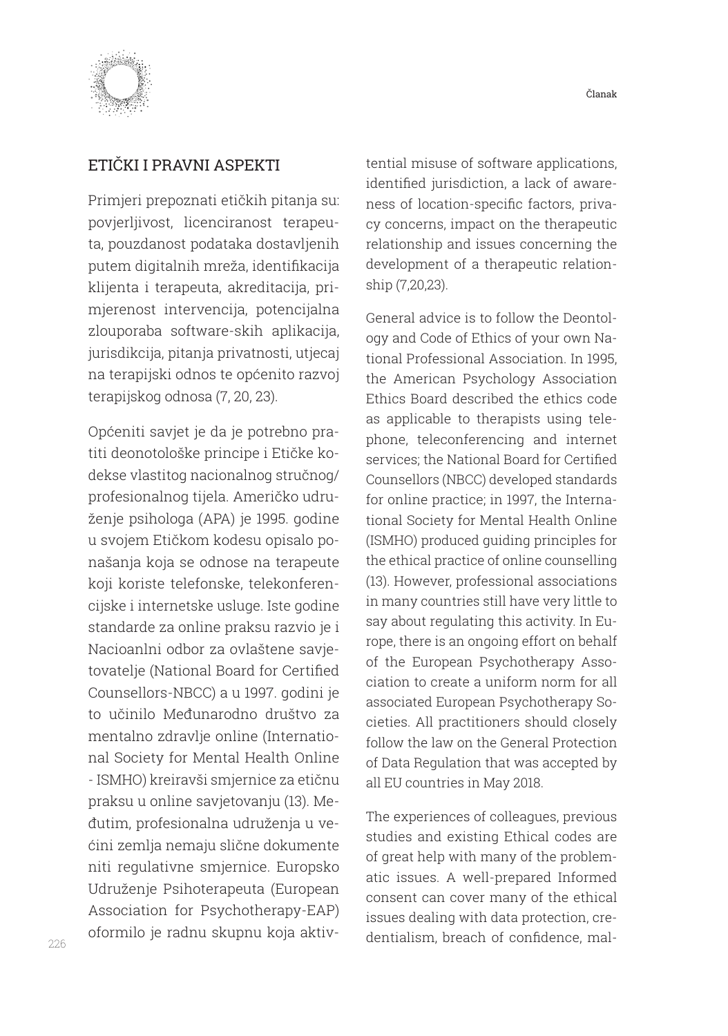



### ETIČKI I PRAVNI ASPEKTI

Primjeri prepoznati etičkih pitanja su: povjerljivost, licenciranost terapeuta, pouzdanost podataka dostavljenih putem digitalnih mreža, identifikacija klijenta i terapeuta, akreditacija, primjerenost intervencija, potencijalna zlouporaba software-skih aplikacija, jurisdikcija, pitanja privatnosti, utjecaj na terapijski odnos te općenito razvoj terapijskog odnosa (7, 20, 23).

Općeniti savjet je da je potrebno pratiti deonotološke principe i Etičke kodekse vlastitog nacionalnog stručnog/ profesionalnog tijela. Američko udruženje psihologa (APA) je 1995. godine u svojem Etičkom kodesu opisalo ponašanja koja se odnose na terapeute koji koriste telefonske, telekonferencijske i internetske usluge. Iste godine standarde za online praksu razvio je i Nacioanlni odbor za ovlaštene savjetovatelje (National Board for Certified Counsellors-NBCC) a u 1997. godini je to učinilo Međunarodno društvo za mentalno zdravlje online (International Society for Mental Health Online - ISMHO) kreiravši smjernice za etičnu praksu u online savjetovanju (13). Međutim, profesionalna udruženja u većini zemlja nemaju slične dokumente niti regulativne smjernice. Europsko Udruženje Psihoterapeuta (European Association for Psychotherapy-EAP) oformilo je radnu skupnu koja aktivtential misuse of software applications, identified jurisdiction, a lack of awareness of location-specific factors, privacy concerns, impact on the therapeutic relationship and issues concerning the development of a therapeutic relationship (7,20,23).

General advice is to follow the Deontology and Code of Ethics of your own National Professional Association. In 1995, the American Psychology Association Ethics Board described the ethics code as applicable to therapists using telephone, teleconferencing and internet services; the National Board for Certified Counsellors (NBCC) developed standards for online practice; in 1997, the International Society for Mental Health Online (ISMHO) produced guiding principles for the ethical practice of online counselling (13). However, professional associations in many countries still have very little to say about regulating this activity. In Europe, there is an ongoing effort on behalf of the European Psychotherapy Association to create a uniform norm for all associated European Psychotherapy Societies. All practitioners should closely follow the law on the General Protection of Data Regulation that was accepted by all EU countries in May 2018.

The experiences of colleagues, previous studies and existing Ethical codes are of great help with many of the problematic issues. A well-prepared Informed consent can cover many of the ethical issues dealing with data protection, credentialism, breach of confidence, mal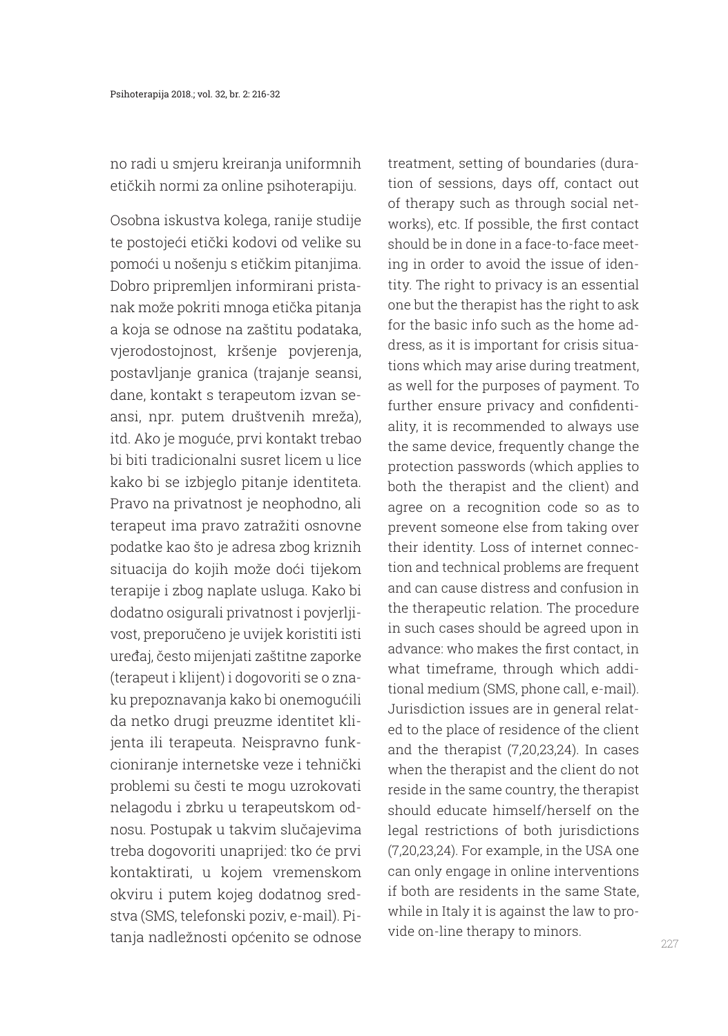no radi u smjeru kreiranja uniformnih etičkih normi za online psihoterapiju.

Osobna iskustva kolega, ranije studije te postojeći etički kodovi od velike su pomoći u nošenju s etičkim pitanjima. Dobro pripremljen informirani pristanak može pokriti mnoga etička pitanja a koja se odnose na zaštitu podataka, vjerodostojnost, kršenje povjerenja, postavljanje granica (trajanje seansi, dane, kontakt s terapeutom izvan seansi, npr. putem društvenih mreža), itd. Ako je moguće, prvi kontakt trebao bi biti tradicionalni susret licem u lice kako bi se izbjeglo pitanje identiteta. Pravo na privatnost je neophodno, ali terapeut ima pravo zatražiti osnovne podatke kao što je adresa zbog kriznih situacija do kojih može doći tijekom terapije i zbog naplate usluga. Kako bi dodatno osigurali privatnost i povjerljivost, preporučeno je uvijek koristiti isti uređaj, često mijenjati zaštitne zaporke (terapeut i klijent) i dogovoriti se o znaku prepoznavanja kako bi onemogućili da netko drugi preuzme identitet klijenta ili terapeuta. Neispravno funkcioniranje internetske veze i tehnički problemi su česti te mogu uzrokovati nelagodu i zbrku u terapeutskom odnosu. Postupak u takvim slučajevima treba dogovoriti unaprijed: tko će prvi kontaktirati, u kojem vremenskom okviru i putem kojeg dodatnog sredstva (SMS, telefonski poziv, e-mail). Pitanja nadležnosti općenito se odnose treatment, setting of boundaries (duration of sessions, days off, contact out of therapy such as through social networks), etc. If possible, the first contact should be in done in a face-to-face meeting in order to avoid the issue of identity. The right to privacy is an essential one but the therapist has the right to ask for the basic info such as the home address, as it is important for crisis situations which may arise during treatment, as well for the purposes of payment. To further ensure privacy and confidentiality, it is recommended to always use the same device, frequently change the protection passwords (which applies to both the therapist and the client) and agree on a recognition code so as to prevent someone else from taking over their identity. Loss of internet connection and technical problems are frequent and can cause distress and confusion in the therapeutic relation. The procedure in such cases should be agreed upon in advance: who makes the first contact, in what timeframe, through which additional medium (SMS, phone call, e-mail). Jurisdiction issues are in general related to the place of residence of the client and the therapist (7,20,23,24). In cases when the therapist and the client do not reside in the same country, the therapist should educate himself/herself on the legal restrictions of both jurisdictions (7,20,23,24). For example, in the USA one can only engage in online interventions if both are residents in the same State, while in Italy it is against the law to provide on-line therapy to minors.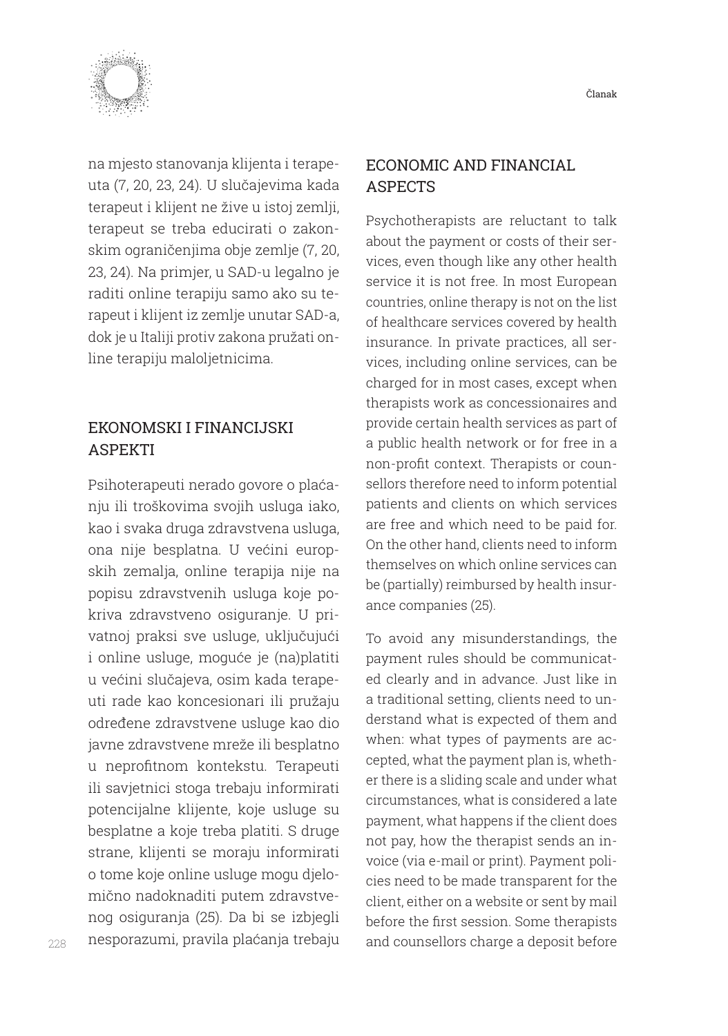

na mjesto stanovanja klijenta i terapeuta (7, 20, 23, 24). U slučajevima kada terapeut i klijent ne žive u istoj zemlji, terapeut se treba educirati o zakonskim ograničenjima obje zemlje (7, 20, 23, 24). Na primjer, u SAD-u legalno je raditi online terapiju samo ako su terapeut i klijent iz zemlje unutar SAD-a, dok je u Italiji protiv zakona pružati online terapiju maloljetnicima.

# EKONOMSKI I FINANCIJSKI ASPEKTI

Psihoterapeuti nerado govore o plaćanju ili troškovima svojih usluga iako, kao i svaka druga zdravstvena usluga, ona nije besplatna. U većini europskih zemalja, online terapija nije na popisu zdravstvenih usluga koje pokriva zdravstveno osiguranje. U privatnoj praksi sve usluge, uključujući i online usluge, moguće je (na)platiti u većini slučajeva, osim kada terapeuti rade kao koncesionari ili pružaju određene zdravstvene usluge kao dio javne zdravstvene mreže ili besplatno u neprofitnom kontekstu. Terapeuti ili savjetnici stoga trebaju informirati potencijalne klijente, koje usluge su besplatne a koje treba platiti. S druge strane, klijenti se moraju informirati o tome koje online usluge mogu djelomično nadoknaditi putem zdravstvenog osiguranja (25). Da bi se izbjegli nesporazumi, pravila plaćanja trebaju

### ECONOMIC AND FINANCIAL **ASPECTS**

Psychotherapists are reluctant to talk about the payment or costs of their services, even though like any other health service it is not free. In most European countries, online therapy is not on the list of healthcare services covered by health insurance. In private practices, all services, including online services, can be charged for in most cases, except when therapists work as concessionaires and provide certain health services as part of a public health network or for free in a non-profit context. Therapists or counsellors therefore need to inform potential patients and clients on which services are free and which need to be paid for. On the other hand, clients need to inform themselves on which online services can be (partially) reimbursed by health insurance companies (25).

To avoid any misunderstandings, the payment rules should be communicated clearly and in advance. Just like in a traditional setting, clients need to understand what is expected of them and when: what types of payments are accepted, what the payment plan is, whether there is a sliding scale and under what circumstances, what is considered a late payment, what happens if the client does not pay, how the therapist sends an invoice (via e-mail or print). Payment policies need to be made transparent for the client, either on a website or sent by mail before the first session. Some therapists and counsellors charge a deposit before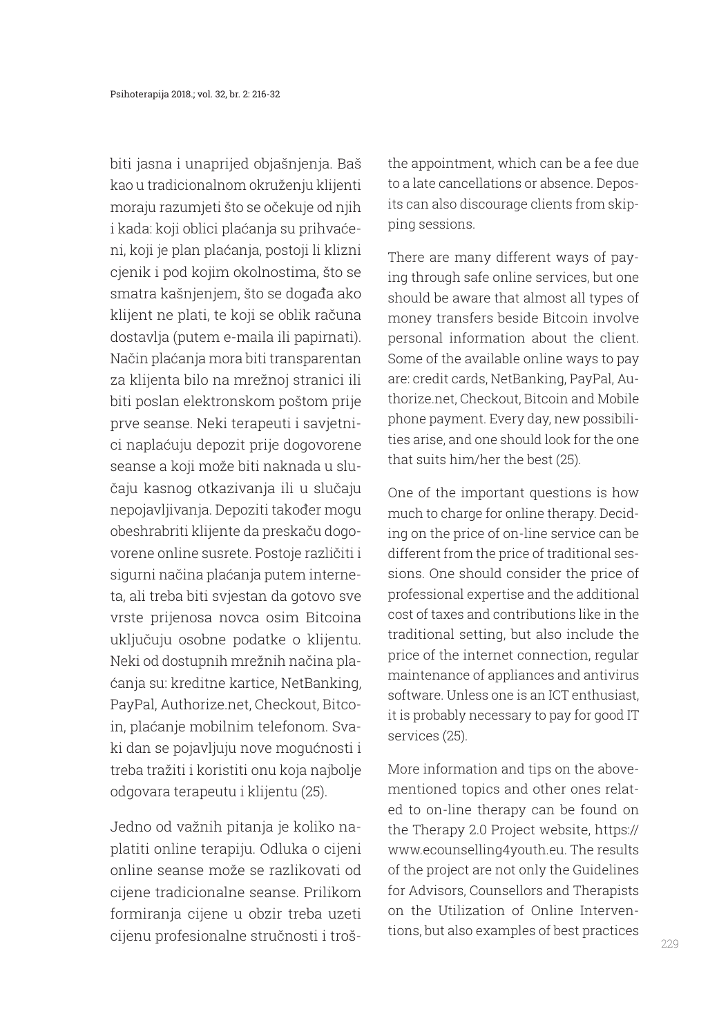biti jasna i unaprijed objašnjenja. Baš kao u tradicionalnom okruženju klijenti moraju razumjeti što se očekuje od njih i kada: koji oblici plaćanja su prihvaćeni, koji je plan plaćanja, postoji li klizni cjenik i pod kojim okolnostima, što se smatra kašnjenjem, što se događa ako klijent ne plati, te koji se oblik računa dostavlja (putem e-maila ili papirnati). Način plaćanja mora biti transparentan za klijenta bilo na mrežnoj stranici ili biti poslan elektronskom poštom prije prve seanse. Neki terapeuti i savjetnici naplaćuju depozit prije dogovorene seanse a koji može biti naknada u slučaju kasnog otkazivanja ili u slučaju nepojavljivanja. Depoziti također mogu obeshrabriti klijente da preskaču dogovorene online susrete. Postoje različiti i sigurni načina plaćanja putem interneta, ali treba biti svjestan da gotovo sve vrste prijenosa novca osim Bitcoina uključuju osobne podatke o klijentu. Neki od dostupnih mrežnih načina plaćanja su: kreditne kartice, NetBanking, PayPal, Authorize.net, Checkout, Bitcoin, plaćanje mobilnim telefonom. Svaki dan se pojavljuju nove mogućnosti i treba tražiti i koristiti onu koja najbolje odgovara terapeutu i klijentu (25).

Jedno od važnih pitanja je koliko naplatiti online terapiju. Odluka o cijeni online seanse može se razlikovati od cijene tradicionalne seanse. Prilikom formiranja cijene u obzir treba uzeti cijenu profesionalne stručnosti i trošthe appointment, which can be a fee due to a late cancellations or absence. Deposits can also discourage clients from skipping sessions.

There are many different ways of paying through safe online services, but one should be aware that almost all types of money transfers beside Bitcoin involve personal information about the client. Some of the available online ways to pay are: credit cards, NetBanking, PayPal, Authorize.net, Checkout, Bitcoin and Mobile phone payment. Every day, new possibilities arise, and one should look for the one that suits him/her the best (25).

One of the important questions is how much to charge for online therapy. Deciding on the price of on-line service can be different from the price of traditional sessions. One should consider the price of professional expertise and the additional cost of taxes and contributions like in the traditional setting, but also include the price of the internet connection, regular maintenance of appliances and antivirus software. Unless one is an ICT enthusiast, it is probably necessary to pay for good IT services (25).

More information and tips on the abovementioned topics and other ones related to on-line therapy can be found on the Therapy 2.0 Project website, https:// www.ecounselling4youth.eu. The results of the project are not only the Guidelines for Advisors, Counsellors and Therapists on the Utilization of Online Interventions, but also examples of best practices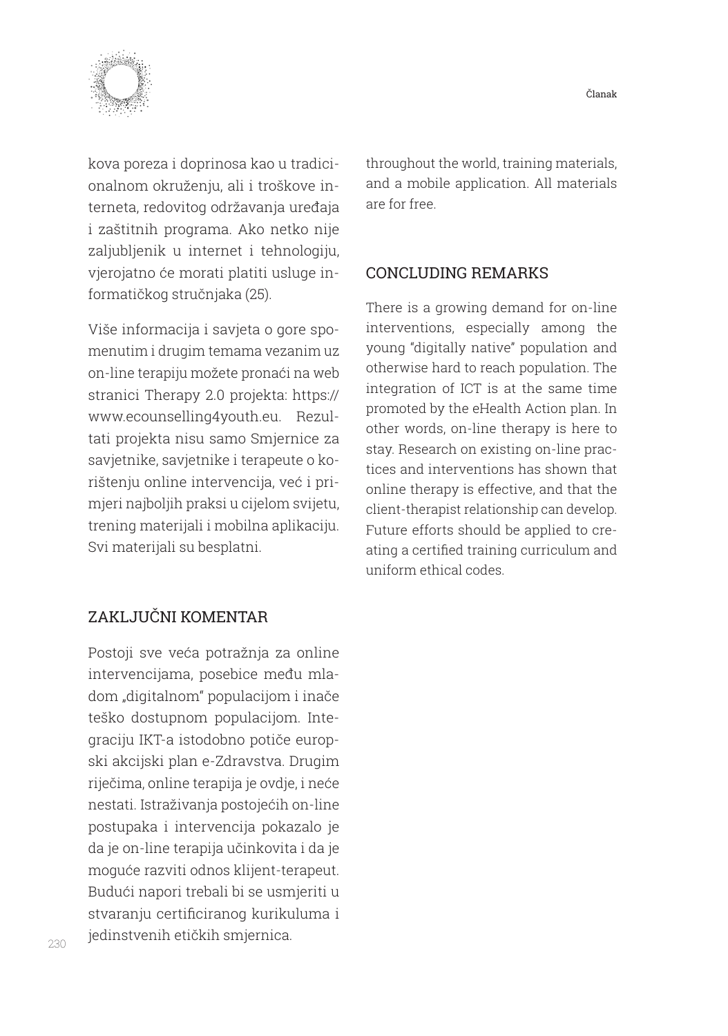

kova poreza i doprinosa kao u tradicionalnom okruženju, ali i troškove interneta, redovitog održavanja uređaja i zaštitnih programa. Ako netko nije zaljubljenik u internet i tehnologiju, vjerojatno će morati platiti usluge informatičkog stručnjaka (25).

Više informacija i savjeta o gore spomenutim i drugim temama vezanim uz on-line terapiju možete pronaći na web stranici Therapy 2.0 projekta: https:// www.ecounselling4youth.eu. Rezultati projekta nisu samo Smjernice za savjetnike, savjetnike i terapeute o korištenju online intervencija, već i primjeri najboljih praksi u cijelom svijetu, trening materijali i mobilna aplikaciju. Svi materijali su besplatni.

throughout the world, training materials, and a mobile application. All materials are for free.

### CONCLUDING REMARKS

There is a growing demand for on-line interventions, especially among the young "digitally native" population and otherwise hard to reach population. The integration of ICT is at the same time promoted by the eHealth Action plan. In other words, on-line therapy is here to stay. Research on existing on-line practices and interventions has shown that online therapy is effective, and that the client-therapist relationship can develop. Future efforts should be applied to creating a certified training curriculum and uniform ethical codes.

## ZAKLJUČNI KOMENTAR

Postoji sve veća potražnja za online intervencijama, posebice među mladom "digitalnom" populacijom i inače teško dostupnom populacijom. Integraciju IKT-a istodobno potiče europski akcijski plan e-Zdravstva. Drugim riječima, online terapija je ovdje, i neće nestati. Istraživanja postojećih on-line postupaka i intervencija pokazalo je da je on-line terapija učinkovita i da je moguće razviti odnos klijent-terapeut. Budući napori trebali bi se usmjeriti u stvaranju certificiranog kurikuluma i jedinstvenih etičkih smjernica.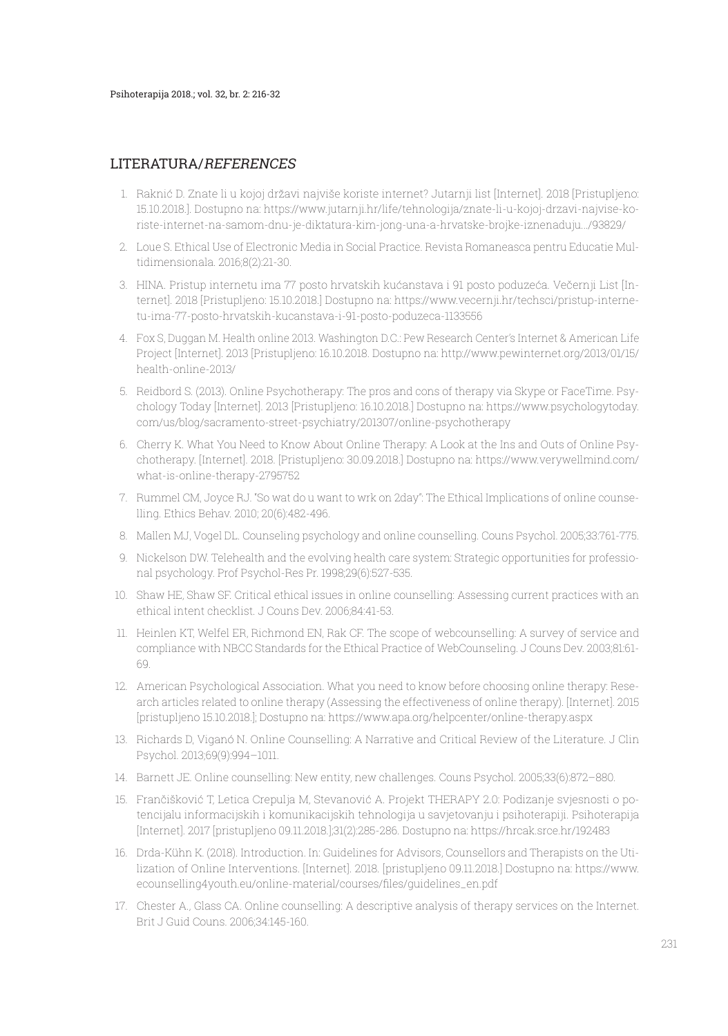#### LITERATURA/REFERENCES

- 1. Raknić D. Znate li u kojoj državi najviše koriste internet? Jutarnji list [Internet]. 2018 [Pristupljeno: 15.10.2018.]. Dostupno na: https://www.jutarnji.hr/life/tehnologija/znate-li-u-kojoj-drzavi-najvise-koriste-internet-na-samom-dnu-je-diktatura-kim-jong-una-a-hrvatske-brojke-iznenaduju.../93829/
- 2. Loue S. Ethical Use of Electronic Media in Social Practice. Revista Romaneasca pentru Educatie Multidimensionala. 2016;8(2):21-30.
- 3. HINA. Pristup internetu ima 77 posto hrvatskih kućanstava i 91 posto poduzeća. Večernji List [Internet]. 2018 [Pristupljeno: 15.10.2018.] Dostupno na: https://www.vecernji.hr/techsci/pristup-internetu-ima-77-posto-hrvatskih-kucanstava-i-91-posto-poduzeca-1133556
- 4. Fox S, Duggan M. Health online 2013. Washington D.C.: Pew Research Center's Internet & American Life Project [Internet]. 2013 [Pristupljeno: 16.10.2018. Dostupno na: http://www.pewinternet.org/2013/01/15/ health-online-2013/
- 5. Reidbord S. (2013). Online Psychotherapy: The pros and cons of therapy via Skype or FaceTime. Psychology Today [Internet]. 2013 [Pristupljeno: 16.10.2018.] Dostupno na: https://www.psychologytoday. com/us/blog/sacramento-street-psychiatry/201307/online-psychotherapy
- 6. Cherry K. What You Need to Know About Online Therapy: A Look at the Ins and Outs of Online Psychotherapy. [Internet]. 2018. [Pristupljeno: 30.09.2018.] Dostupno na: https://www.verywellmind.com/ what-is-online-therapy-2795752
- 7. Rummel CM, Joyce RJ. "So wat do u want to wrk on 2day": The Ethical Implications of online counselling. Ethics Behav. 2010; 20(6):482-496.
- 8. Mallen MJ, Vogel DL. Counseling psychology and online counselling. Couns Psychol. 2005;33:761-775.
- 9. Nickelson DW. Telehealth and the evolving health care system: Strategic opportunities for professional psychology. Prof Psychol-Res Pr. 1998;29(6):527-535.
- 10. Shaw HE, Shaw SF. Critical ethical issues in online counselling: Assessing current practices with an ethical intent checklist. J Couns Dev. 2006;84:41-53.
- 11. Heinlen KT, Welfel ER, Richmond EN, Rak CF. The scope of webcounselling: A survey of service and compliance with NBCC Standards for the Ethical Practice of WebCounseling. J Couns Dev. 2003;81:61- 69.
- 12. American Psychological Association. What you need to know before choosing online therapy: Research articles related to online therapy (Assessing the effectiveness of online therapy). [Internet]. 2015 [pristupljeno 15.10.2018.]; Dostupno na: https://www.apa.org/helpcenter/online-therapy.aspx
- 13. Richards D, Viganó N. Online Counselling: A Narrative and Critical Review of the Literature. J Clin Psychol. 2013;69(9):994–1011.
- 14. Barnett JE. Online counselling: New entity, new challenges. Couns Psychol. 2005;33(6):872–880.
- 15. Frančišković T, Letica Crepulja M, Stevanović A. Projekt THERAPY 2.0: Podizanje svjesnosti o potencijalu informacijskih i komunikacijskih tehnologija u savjetovanju i psihoterapiji. Psihoterapija [Internet]. 2017 [pristupljeno 09.11.2018.];31(2):285-286. Dostupno na: https://hrcak.srce.hr/192483
- 16. Drda-Kühn K. (2018). Introduction. In: Guidelines for Advisors, Counsellors and Therapists on the Utilization of Online Interventions. [Internet]. 2018. [pristupljeno 09.11.2018.] Dostupno na: https://www. ecounselling4youth.eu/online-material/courses/files/guidelines\_en.pdf
- 17. Chester A., Glass CA. Online counselling: A descriptive analysis of therapy services on the Internet. Brit J Guid Couns. 2006;34:145-160.